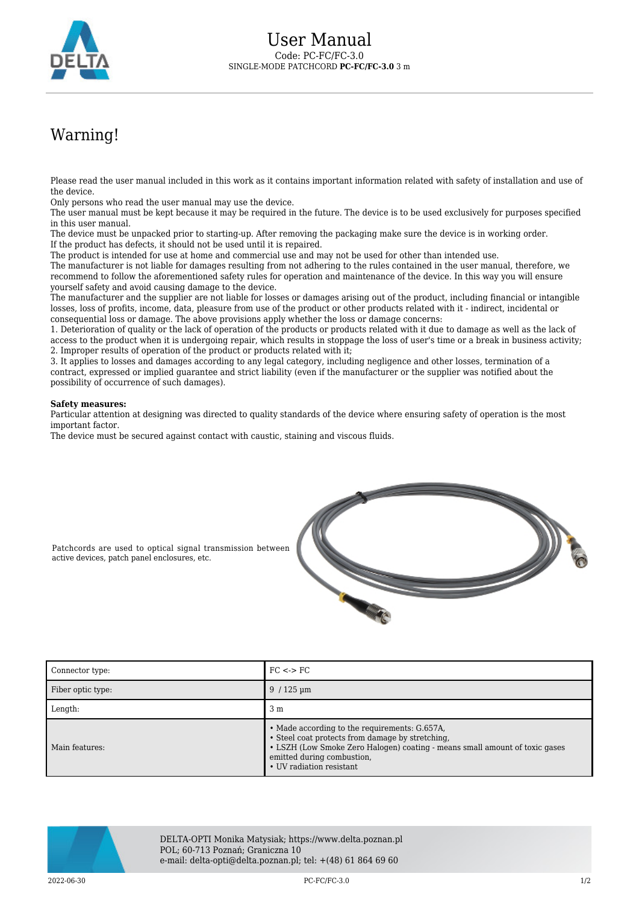

## Warning!

Please read the user manual included in this work as it contains important information related with safety of installation and use of the device.

Only persons who read the user manual may use the device.

The user manual must be kept because it may be required in the future. The device is to be used exclusively for purposes specified in this user manual.

The device must be unpacked prior to starting-up. After removing the packaging make sure the device is in working order. If the product has defects, it should not be used until it is repaired.

The product is intended for use at home and commercial use and may not be used for other than intended use.

The manufacturer is not liable for damages resulting from not adhering to the rules contained in the user manual, therefore, we recommend to follow the aforementioned safety rules for operation and maintenance of the device. In this way you will ensure yourself safety and avoid causing damage to the device.

The manufacturer and the supplier are not liable for losses or damages arising out of the product, including financial or intangible losses, loss of profits, income, data, pleasure from use of the product or other products related with it - indirect, incidental or consequential loss or damage. The above provisions apply whether the loss or damage concerns:

1. Deterioration of quality or the lack of operation of the products or products related with it due to damage as well as the lack of access to the product when it is undergoing repair, which results in stoppage the loss of user's time or a break in business activity; 2. Improper results of operation of the product or products related with it;

3. It applies to losses and damages according to any legal category, including negligence and other losses, termination of a contract, expressed or implied guarantee and strict liability (even if the manufacturer or the supplier was notified about the possibility of occurrence of such damages).

## **Safety measures:**

Particular attention at designing was directed to quality standards of the device where ensuring safety of operation is the most important factor.

The device must be secured against contact with caustic, staining and viscous fluids.



Patchcords are used to optical signal transmission between active devices, patch panel enclosures, etc.

| Connector type:   | $FC \leq$ > $FC$                                                                                                                                                                                                                           |
|-------------------|--------------------------------------------------------------------------------------------------------------------------------------------------------------------------------------------------------------------------------------------|
| Fiber optic type: | $9/125 \,\mathrm{\upmu m}$                                                                                                                                                                                                                 |
| Length:           | 3 <sub>m</sub>                                                                                                                                                                                                                             |
| Main features:    | • Made according to the requirements: G.657A,<br>• Steel coat protects from damage by stretching,<br>• LSZH (Low Smoke Zero Halogen) coating - means small amount of toxic gases<br>emitted during combustion,<br>• UV radiation resistant |



DELTA-OPTI Monika Matysiak; https://www.delta.poznan.pl POL; 60-713 Poznań; Graniczna 10 e-mail: delta-opti@delta.poznan.pl; tel: +(48) 61 864 69 60